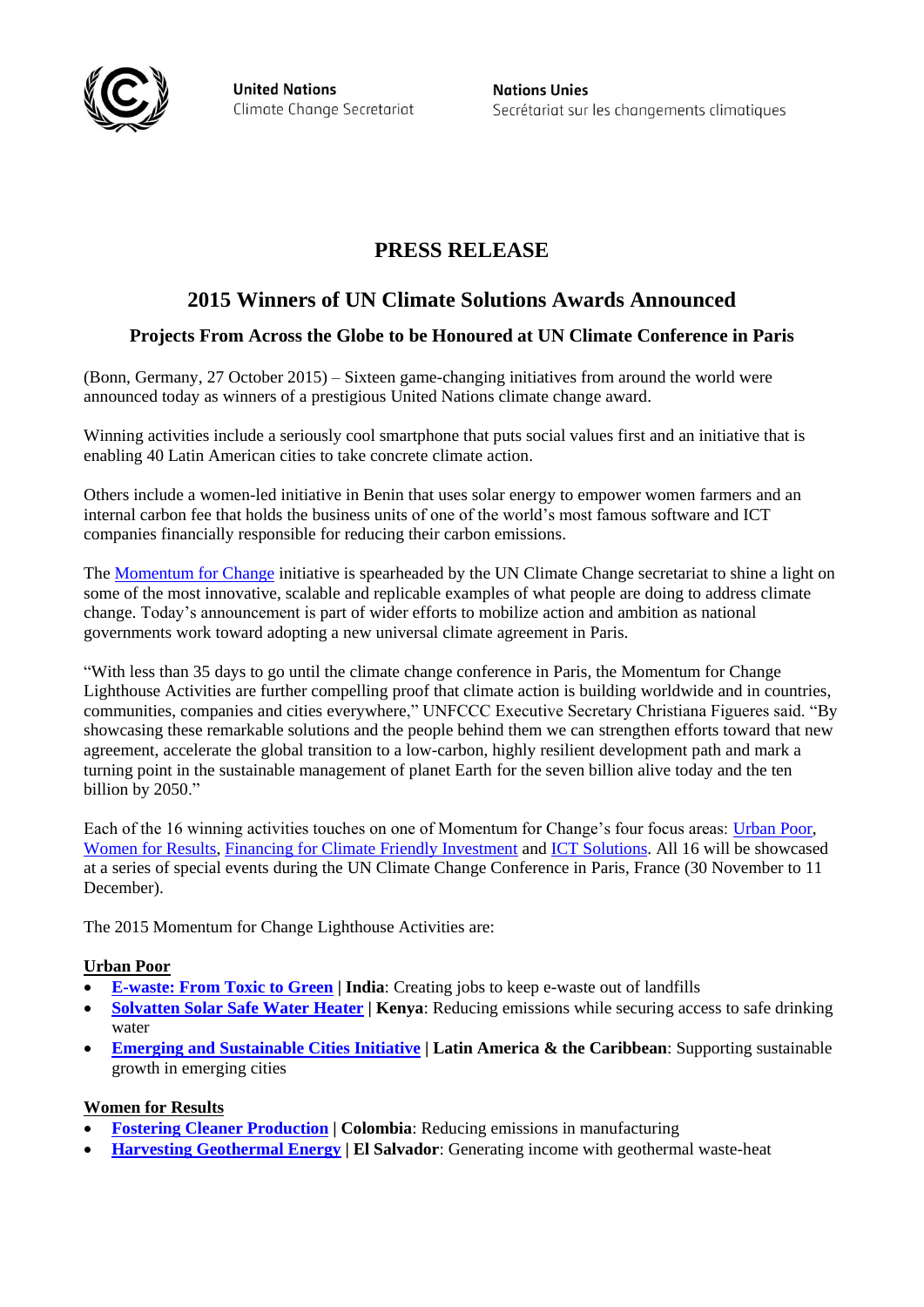

**United Nations** Climate Change Secretariat **Nations Unies** Secrétariat sur les changements climatiques

# **PRESS RELEASE**

# **2015 Winners of UN Climate Solutions Awards Announced**

## **Projects From Across the Globe to be Honoured at UN Climate Conference in Paris**

(Bonn, Germany, 27 October 2015) – Sixteen game-changing initiatives from around the world were announced today as winners of a prestigious United Nations climate change award.

Winning activities include a seriously cool smartphone that puts social values first and an initiative that is enabling 40 Latin American cities to take concrete climate action.

Others include a women-led initiative in Benin that uses solar energy to empower women farmers and an internal carbon fee that holds the business units of one of the world's most famous software and ICT companies financially responsible for reducing their carbon emissions.

The [Momentum for Change](http://momentum4change.org/) initiative is spearheaded by the UN Climate Change secretariat to shine a light on some of the most innovative, scalable and replicable examples of what people are doing to address climate change. Today's announcement is part of wider efforts to mobilize action and ambition as national governments work toward adopting a new universal climate agreement in Paris.

"With less than 35 days to go until the climate change conference in Paris, the Momentum for Change Lighthouse Activities are further compelling proof that climate action is building worldwide and in countries, communities, companies and cities everywhere," UNFCCC Executive Secretary Christiana Figueres said. "By showcasing these remarkable solutions and the people behind them we can strengthen efforts toward that new agreement, accelerate the global transition to a low-carbon, highly resilient development path and mark a turning point in the sustainable management of planet Earth for the seven billion alive today and the ten billion by 2050."

Each of the 16 winning activities touches on one of Momentum for Change's four focus areas: [Urban Poor,](http://unfccc.int/secretariat/momentum_for_change/items/7370.php) [Women for Results,](http://unfccc.int/secretariat/momentum_for_change/items/7318.php) [Financing for Climate Friendly Investment](http://unfccc.int/secretariat/momentum_for_change/items/7319.php) and [ICT Solutions.](http://unfccc.int/secretariat/momentum_for_change/items/7861.php) All 16 will be showcased at a series of special events during the UN Climate Change Conference in Paris, France (30 November to 11 December).

The 2015 Momentum for Change Lighthouse Activities are:

## **Urban Poor**

- **[E-waste: From Toxic to Green](http://unfccc.int/secretariat/momentum_for_change/items/9267.php) | India**: Creating jobs to keep e-waste out of landfills
- **[Solvatten Solar Safe Water Heater](http://unfccc.int/secretariat/momentum_for_change/items/9265.php) | Kenya:** Reducing emissions while securing access to safe drinking water
- **[Emerging and Sustainable Cities Initiative](http://unfccc.int/secretariat/momentum_for_change/items/9271.php) | Latin America & the Caribbean**: Supporting sustainable growth in emerging cities

## **Women for Results**

- **[Fostering Cleaner](http://unfccc.int/secretariat/momentum_for_change/items/9258.php) Production | Colombia**: Reducing emissions in manufacturing
- **[Harvesting Geothermal Energy](http://unfccc.int/secretariat/momentum_for_change/items/9259.php) | El Salvador**: Generating income with geothermal waste-heat